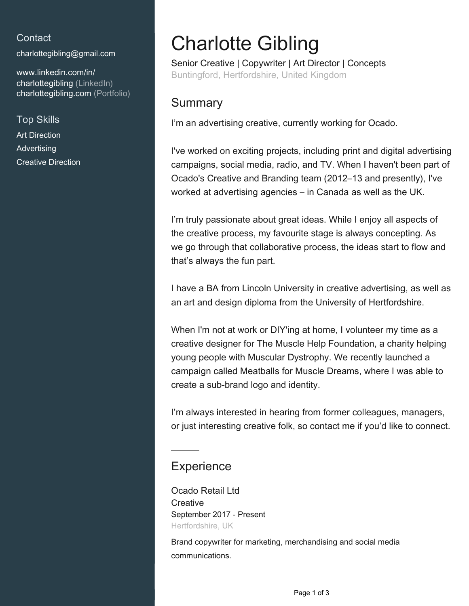#### **Contact**

[charlottegibling@gmail.com](mailto:charlottegibling@gmail.com)

[www.linkedin.com/in/](https://www.linkedin.com/in/charlottegibling?jobid=1234&lipi=urn%3Ali%3Apage%3Ad_jobs_easyapply_pdfgenresume%3BvYU82rzBSZKvYk%2F%2Be1M32w%3D%3D&licu=urn%3Ali%3Acontrol%3Ad_jobs_easyapply_pdfgenresume-v02_profile) [charlottegibling \(LinkedIn\)](https://www.linkedin.com/in/charlottegibling?jobid=1234&lipi=urn%3Ali%3Apage%3Ad_jobs_easyapply_pdfgenresume%3BvYU82rzBSZKvYk%2F%2Be1M32w%3D%3D&licu=urn%3Ali%3Acontrol%3Ad_jobs_easyapply_pdfgenresume-v02_profile) [charlottegibling.com \(Portfolio\)](www.charlottegibling.com)

Top Skills

Art Direction Advertising Creative Direction

# Charlotte Gibling

Senior Creative | Copywriter | Art Director | Concepts Buntingford, Hertfordshire, United Kingdom

### **Summary**

I'm an advertising creative, currently working for Ocado.

I've worked on exciting projects, including print and digital advertising campaigns, social media, radio, and TV. When I haven't been part of Ocado's Creative and Branding team (2012–13 and presently), I've worked at advertising agencies – in Canada as well as the UK.

I'm truly passionate about great ideas. While I enjoy all aspects of the creative process, my favourite stage is always concepting. As we go through that collaborative process, the ideas start to flow and that's always the fun part.

I have a BA from Lincoln University in creative advertising, as well as an art and design diploma from the University of Hertfordshire.

When I'm not at work or DIY'ing at home, I volunteer my time as a creative designer for The Muscle Help Foundation, a charity helping young people with Muscular Dystrophy. We recently launched a campaign called Meatballs for Muscle Dreams, where I was able to create a sub-brand logo and identity.

I'm always interested in hearing from former colleagues, managers, or just interesting creative folk, so contact me if you'd like to connect.

## **Experience**

Ocado Retail Ltd **Creative** September 2017 - Present Hertfordshire, UK

Brand copywriter for marketing, merchandising and social media communications.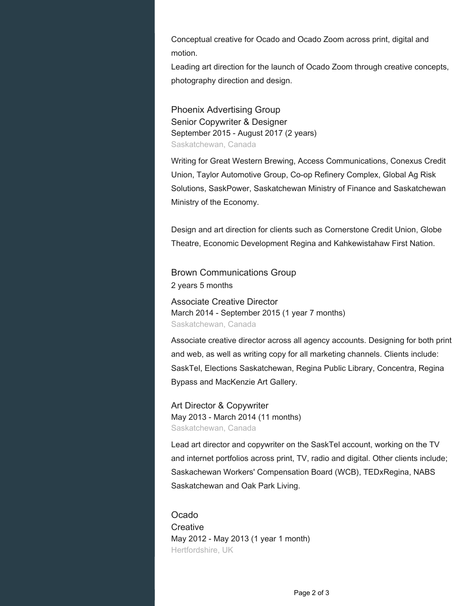Conceptual creative for Ocado and Ocado Zoom across print, digital and motion.

Leading art direction for the launch of Ocado Zoom through creative concepts, photography direction and design.

Phoenix Advertising Group Senior Copywriter & Designer September 2015 - August 2017 (2 years) Saskatchewan, Canada

Writing for Great Western Brewing, Access Communications, Conexus Credit Union, Taylor Automotive Group, Co-op Refinery Complex, Global Ag Risk Solutions, SaskPower, Saskatchewan Ministry of Finance and Saskatchewan Ministry of the Economy.

Design and art direction for clients such as Cornerstone Credit Union, Globe Theatre, Economic Development Regina and Kahkewistahaw First Nation.

Brown Communications Group 2 years 5 months

Associate Creative Director March 2014 - September 2015 (1 year 7 months) Saskatchewan, Canada

Associate creative director across all agency accounts. Designing for both print and web, as well as writing copy for all marketing channels. Clients include: SaskTel, Elections Saskatchewan, Regina Public Library, Concentra, Regina Bypass and MacKenzie Art Gallery.

Art Director & Copywriter May 2013 - March 2014 (11 months) Saskatchewan, Canada

Lead art director and copywriter on the SaskTel account, working on the TV and internet portfolios across print, TV, radio and digital. Other clients include; Saskachewan Workers' Compensation Board (WCB), TEDxRegina, NABS Saskatchewan and Oak Park Living.

Ocado **Creative** May 2012 - May 2013 (1 year 1 month) Hertfordshire, UK